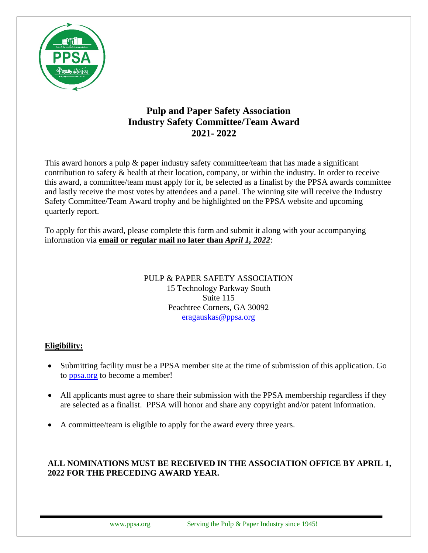

# **Pulp and Paper Safety Association Industry Safety Committee/Team Award 2021- 2022**

This award honors a pulp & paper industry safety committee/team that has made a significant contribution to safety & health at their location, company, or within the industry. In order to receive this award, a committee/team must apply for it, be selected as a finalist by the PPSA awards committee and lastly receive the most votes by attendees and a panel. The winning site will receive the Industry Safety Committee/Team Award trophy and be highlighted on the PPSA website and upcoming quarterly report.

To apply for this award, please complete this form and submit it along with your accompanying information via **email or regular mail no later than** *April 1, 2022*:

> PULP & PAPER SAFETY ASSOCIATION 15 Technology Parkway South Suite 115 Peachtree Corners, GA 30092 [eragauskas@ppsa.org](mailto:eragauskas@ppsa.org)

### **Eligibility:**

- Submitting facility must be a PPSA member site at the time of submission of this application. Go to [ppsa.org](http://www.ppsa.org/become-a-member) to become a member!
- All applicants must agree to share their submission with the PPSA membership regardless if they are selected as a finalist. PPSA will honor and share any copyright and/or patent information.
- A committee/team is eligible to apply for the award every three years.

## **ALL NOMINATIONS MUST BE RECEIVED IN THE ASSOCIATION OFFICE BY APRIL 1, 2022 FOR THE PRECEDING AWARD YEAR.**